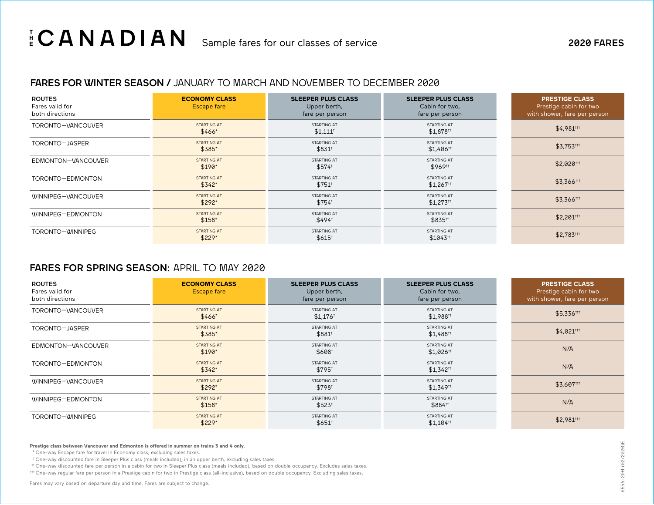# $\frac{1}{E}$  **CANADIAN** Sample fares for our classes of service 2020 FARES

## FARES FOR WINTER SEASON / JANUARY TO MARCH AND NOVEMBER TO DECEMBER 2020

| <b>ROUTES</b><br>Fares valid for<br>both directions | <b>ECONOMY CLASS</b><br>Escape fare | <b>SLEEPER PLUS CLASS</b><br>Upper berth,<br>fare per person | <b>SLEEPER PLUS CLASS</b><br>Cabin for two,<br>fare per person                                        | <b>PRESTIGE CLASS</b><br>Prestige cabin for two<br>with shower, fare per person |
|-----------------------------------------------------|-------------------------------------|--------------------------------------------------------------|-------------------------------------------------------------------------------------------------------|---------------------------------------------------------------------------------|
| TORONTO-VANCOUVER                                   | <b>STARTING AT</b><br>\$466*        | STARTING AT<br>$$1,111$ <sup>†</sup>                         | STARTING AT<br>\$1,878 <sup>††</sup>                                                                  | \$4,981##                                                                       |
| TORONTO-JASPER                                      | <b>STARTING AT</b><br>\$385*        | STARTING AT<br>$$831$ <sup>†</sup>                           | STARTING AT<br>\$1,406 <sup>++</sup>                                                                  | $$3,753$ <sup>111</sup>                                                         |
| EDMONTON-VANCOUVER                                  | <b>STARTING AT</b><br>$$190*$       | STARTING AT<br>\$574                                         | STARTING AT<br>\$969#                                                                                 | \$2,020#                                                                        |
| TORONTO-EDMONTON                                    | <b>STARTING AT</b><br>$$342*$       | STARTING AT<br>$$751^{\dagger}$                              | STARTING AT<br>$$1,267$ <sup>\\times\mathbb{1}{\in 0.7\\times\mathb{1}{\in 0.7\\times\mathb{3}}</sup> | \$3,366 ***                                                                     |
| WINNIPEG-VANCOUVER                                  | <b>STARTING AT</b><br>$$292*$       | STARTING AT<br>\$754                                         | STARTING AT<br>$$1,273$ <sup>††</sup>                                                                 | \$3,366##                                                                       |
| WINNIPEG-EDMONTON                                   | <b>STARTING AT</b><br>$$158*$       | STARTING AT<br>\$494                                         | STARTING AT<br>\$835#                                                                                 | \$2,201##                                                                       |
| TORONTO-WINNIPEG                                    | <b>STARTING AT</b><br>\$229*        | STARTING AT<br>$$615^{\dagger}$                              | STARTING AT<br>\$1043#                                                                                | $$2,783$ <sup>+++</sup>                                                         |

# FARES FOR SPRING SEASON: APRIL TO MAY 2020

| <b>ROUTES</b><br>Fares valid for<br>both directions | <b>ECONOMY CLASS</b><br>Escape fare | <b>SLEEPER PLUS CLASS</b><br>Upper berth,<br>fare per person | <b>SLEEPER PLUS CLASS</b><br>Cabin for two,<br>fare per person | <b>PRESTIGE CLASS</b><br>Prestige cabin for two<br>with shower, fare per person |
|-----------------------------------------------------|-------------------------------------|--------------------------------------------------------------|----------------------------------------------------------------|---------------------------------------------------------------------------------|
| TORONTO-VANCOUVER                                   | <b>STARTING AT</b><br>\$466*        | STARTING AT<br>$$1,176$ <sup>t</sup>                         | STARTING AT<br>\$1,988 <sup>tt</sup>                           | \$5,336##                                                                       |
| TORONTO-JASPER                                      | <b>STARTING AT</b><br>\$385*        | STARTING AT<br>\$881                                         | STARTING AT<br>$$1,488$ <sup>††</sup>                          | $$4,021$ <sup>†††</sup>                                                         |
| EDMONTON-VANCOUVER                                  | <b>STARTING AT</b><br>$$190*$       | STARTING AT<br>\$608                                         | STARTING AT<br>\$1,026 <sup>tt</sup>                           | N/A                                                                             |
| TORONTO-EDMONTON                                    | <b>STARTING AT</b><br>$$342*$       | STARTING AT<br>\$795                                         | STARTING AT<br>$$1,342$ <sup>tt</sup>                          | N/A                                                                             |
| WINNIPEG-VANCOUVER                                  | <b>STARTING AT</b><br>$$292*$       | STARTING AT<br>\$798                                         | STARTING AT<br>\$1,349#                                        | \$3,607##                                                                       |
| WINNIPEG-EDMONTON                                   | <b>STARTING AT</b><br>$$158*$       | STARTING AT<br>$$523^+$                                      | STARTING AT<br>\$884#                                          | N/A                                                                             |
| TORONTO-WINNIPEG                                    | <b>STARTING AT</b><br>$$229*$       | STARTING AT<br>$$651^{\dagger}$                              | STARTING AT<br>$$1,104$ <sup>††</sup>                          | \$2,981##                                                                       |

### **Prestige class between Vancouver and Edmonton is offered in summer on trains 3 and 4 only.**

\* One-way Escape fare for travel in Economy class, excluding sales taxes.

† One-way discounted fare in Sleeper Plus class (meals included), in an upper berth, excluding sales taxes.

†† One-way discounted fare per person in a cabin for two in Sleeper Plus class (meals included), based on double occupancy. Excludes sales taxes.

††† One-way regular fare per person in a Prestige cabin for two in Prestige class (all-inclusive), based on double occupancy. Excluding sales taxes.

Fares may vary based on departure day and time. Fares are subject to change.